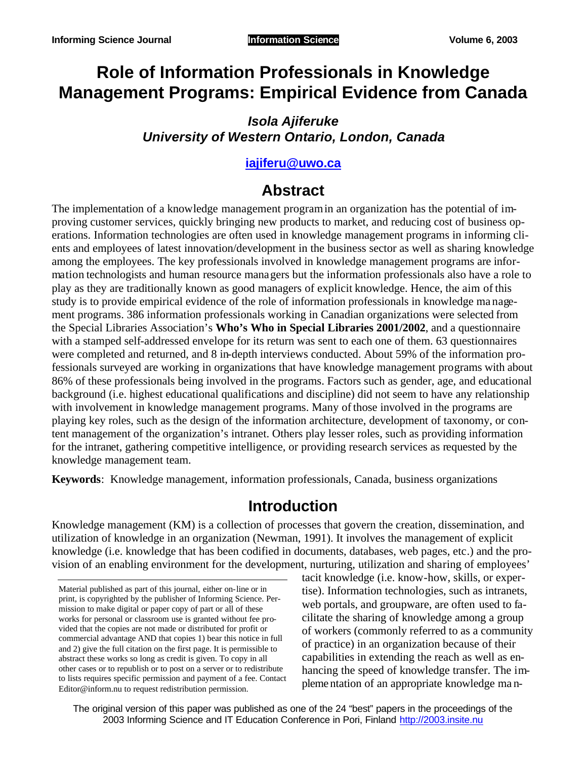# **Role of Information Professionals in Knowledge Management Programs: Empirical Evidence from Canada**

### *Isola Ajiferuke University of Western Ontario, London, Canada*

### **iajiferu@uwo.ca**

## **Abstract**

The implementation of a knowledge management program in an organization has the potential of improving customer services, quickly bringing new products to market, and reducing cost of business operations. Information technologies are often used in knowledge management programs in informing clients and employees of latest innovation/development in the business sector as well as sharing knowledge among the employees. The key professionals involved in knowledge management programs are information technologists and human resource managers but the information professionals also have a role to play as they are traditionally known as good managers of explicit knowledge. Hence, the aim of this study is to provide empirical evidence of the role of information professionals in knowledge ma nagement programs. 386 information professionals working in Canadian organizations were selected from the Special Libraries Association's **Who's Who in Special Libraries 2001/2002**, and a questionnaire with a stamped self-addressed envelope for its return was sent to each one of them. 63 questionnaires were completed and returned, and 8 in-depth interviews conducted. About 59% of the information professionals surveyed are working in organizations that have knowledge management programs with about 86% of these professionals being involved in the programs. Factors such as gender, age, and educational background (i.e. highest educational qualifications and discipline) did not seem to have any relationship with involvement in knowledge management programs. Many of those involved in the programs are playing key roles, such as the design of the information architecture, development of taxonomy, or content management of the organization's intranet. Others play lesser roles, such as providing information for the intranet, gathering competitive intelligence, or providing research services as requested by the knowledge management team.

**Keywords**: Knowledge management, information professionals, Canada, business organizations

## **Introduction**

Knowledge management (KM) is a collection of processes that govern the creation, dissemination, and utilization of knowledge in an organization (Newman, 1991). It involves the management of explicit knowledge (i.e. knowledge that has been codified in documents, databases, web pages, etc.) and the provision of an enabling environment for the development, nurturing, utilization and sharing of employees'

tacit knowledge (i.e. know-how, skills, or expertise). Information technologies, such as intranets, web portals, and groupware, are often used to facilitate the sharing of knowledge among a group of workers (commonly referred to as a community of practice) in an organization because of their capabilities in extending the reach as well as enhancing the speed of knowledge transfer. The implementation of an appropriate knowledge ma n-

The original version of this paper was published as one of the 24 "best" papers in the proceedings of the 2003 Informing Science and IT Education Conference in Pori, Finland http://2003.insite.nu

Material published as part of this journal, either on-line or in print, is copyrighted by the publisher of Informing Science. Permission to make digital or paper copy of part or all of these works for personal or classroom use is granted without fee provided that the copies are not made or distributed for profit or commercial advantage AND that copies 1) bear this notice in full and 2) give the full citation on the first page. It is permissible to abstract these works so long as credit is given. To copy in all other cases or to republish or to post on a server or to redistribute to lists requires specific permission and payment of a fee. Contact Editor@inform.nu to request redistribution permission.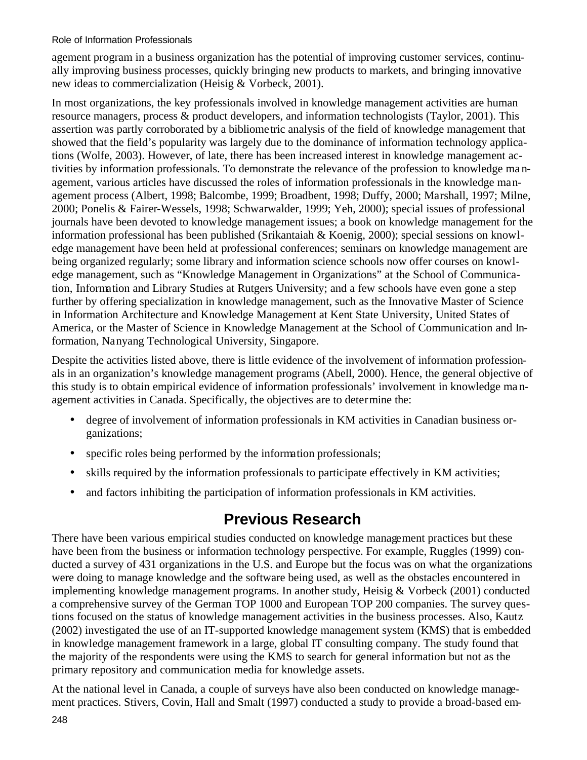agement program in a business organization has the potential of improving customer services, continually improving business processes, quickly bringing new products to markets, and bringing innovative new ideas to commercialization (Heisig & Vorbeck, 2001).

In most organizations, the key professionals involved in knowledge management activities are human resource managers, process & product developers, and information technologists (Taylor, 2001). This assertion was partly corroborated by a bibliometric analysis of the field of knowledge management that showed that the field's popularity was largely due to the dominance of information technology applications (Wolfe, 2003). However, of late, there has been increased interest in knowledge management activities by information professionals. To demonstrate the relevance of the profession to knowledge ma nagement, various articles have discussed the roles of information professionals in the knowledge management process (Albert, 1998; Balcombe, 1999; Broadbent, 1998; Duffy, 2000; Marshall, 1997; Milne, 2000; Ponelis & Fairer-Wessels, 1998; Schwarwalder, 1999; Yeh, 2000); special issues of professional journals have been devoted to knowledge management issues; a book on knowledge management for the information professional has been published (Srikantaiah & Koenig, 2000); special sessions on knowledge management have been held at professional conferences; seminars on knowledge management are being organized regularly; some library and information science schools now offer courses on knowledge management, such as "Knowledge Management in Organizations" at the School of Communication, Information and Library Studies at Rutgers University; and a few schools have even gone a step further by offering specialization in knowledge management, such as the Innovative Master of Science in Information Architecture and Knowledge Management at Kent State University, United States of America, or the Master of Science in Knowledge Management at the School of Communication and Information, Nanyang Technological University, Singapore.

Despite the activities listed above, there is little evidence of the involvement of information professionals in an organization's knowledge management programs (Abell, 2000). Hence, the general objective of this study is to obtain empirical evidence of information professionals' involvement in knowledge ma nagement activities in Canada. Specifically, the objectives are to determine the:

- degree of involvement of information professionals in KM activities in Canadian business organizations;
- specific roles being performed by the information professionals;
- skills required by the information professionals to participate effectively in KM activities;
- and factors inhibiting the participation of information professionals in KM activities.

## **Previous Research**

There have been various empirical studies conducted on knowledge management practices but these have been from the business or information technology perspective. For example, Ruggles (1999) conducted a survey of 431 organizations in the U.S. and Europe but the focus was on what the organizations were doing to manage knowledge and the software being used, as well as the obstacles encountered in implementing knowledge management programs. In another study, Heisig & Vorbeck (2001) conducted a comprehensive survey of the German TOP 1000 and European TOP 200 companies. The survey questions focused on the status of knowledge management activities in the business processes. Also, Kautz (2002) investigated the use of an IT-supported knowledge management system (KMS) that is embedded in knowledge management framework in a large, global IT consulting company. The study found that the majority of the respondents were using the KMS to search for general information but not as the primary repository and communication media for knowledge assets.

At the national level in Canada, a couple of surveys have also been conducted on knowledge management practices. Stivers, Covin, Hall and Smalt (1997) conducted a study to provide a broad-based em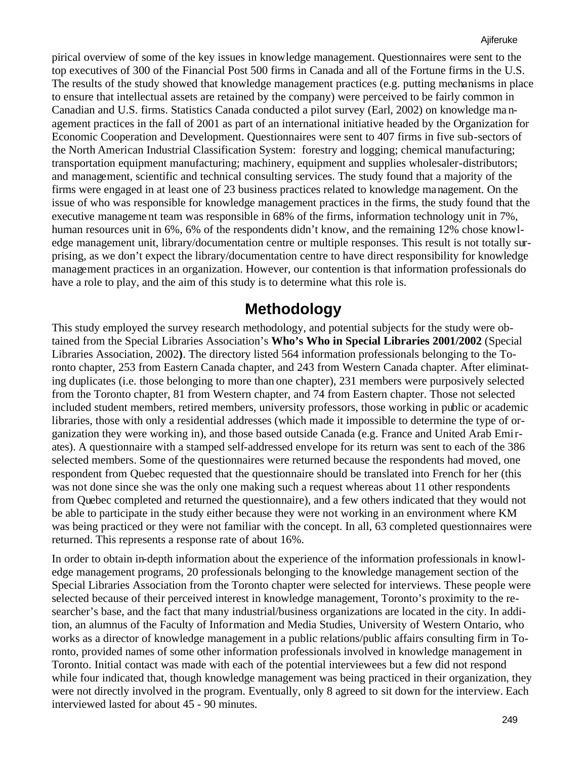pirical overview of some of the key issues in knowledge management. Questionnaires were sent to the top executives of 300 of the Financial Post 500 firms in Canada and all of the Fortune firms in the U.S. The results of the study showed that knowledge management practices (e.g. putting mechanisms in place to ensure that intellectual assets are retained by the company) were perceived to be fairly common in Canadian and U.S. firms. Statistics Canada conducted a pilot survey (Earl, 2002) on knowledge ma nagement practices in the fall of 2001 as part of an international initiative headed by the Organization for Economic Cooperation and Development. Questionnaires were sent to 407 firms in five sub-sectors of the North American Industrial Classification System: forestry and logging; chemical manufacturing; transportation equipment manufacturing; machinery, equipment and supplies wholesaler-distributors; and management, scientific and technical consulting services. The study found that a majority of the firms were engaged in at least one of 23 business practices related to knowledge management. On the issue of who was responsible for knowledge management practices in the firms, the study found that the executive manageme nt team was responsible in 68% of the firms, information technology unit in 7%, human resources unit in 6%, 6% of the respondents didn't know, and the remaining 12% chose knowledge management unit, library/documentation centre or multiple responses. This result is not totally surprising, as we don't expect the library/documentation centre to have direct responsibility for knowledge management practices in an organization. However, our contention is that information professionals do have a role to play, and the aim of this study is to determine what this role is.

### **Methodology**

This study employed the survey research methodology, and potential subjects for the study were obtained from the Special Libraries Association's **Who's Who in Special Libraries 2001/2002** (Special Libraries Association, 2002**)**. The directory listed 564 information professionals belonging to the Toronto chapter, 253 from Eastern Canada chapter, and 243 from Western Canada chapter. After eliminating duplicates (i.e. those belonging to more than one chapter), 231 members were purposively selected from the Toronto chapter, 81 from Western chapter, and 74 from Eastern chapter. Those not selected included student members, retired members, university professors, those working in public or academic libraries, those with only a residential addresses (which made it impossible to determine the type of organization they were working in), and those based outside Canada (e.g. France and United Arab Emirates). A questionnaire with a stamped self-addressed envelope for its return was sent to each of the 386 selected members. Some of the questionnaires were returned because the respondents had moved, one respondent from Quebec requested that the questionnaire should be translated into French for her (this was not done since she was the only one making such a request whereas about 11 other respondents from Quebec completed and returned the questionnaire), and a few others indicated that they would not be able to participate in the study either because they were not working in an environment where KM was being practiced or they were not familiar with the concept. In all, 63 completed questionnaires were returned. This represents a response rate of about 16%.

In order to obtain in-depth information about the experience of the information professionals in knowledge management programs, 20 professionals belonging to the knowledge management section of the Special Libraries Association from the Toronto chapter were selected for interviews. These people were selected because of their perceived interest in knowledge management, Toronto's proximity to the researcher's base, and the fact that many industrial/business organizations are located in the city. In addition, an alumnus of the Faculty of Information and Media Studies, University of Western Ontario, who works as a director of knowledge management in a public relations/public affairs consulting firm in Toronto, provided names of some other information professionals involved in knowledge management in Toronto. Initial contact was made with each of the potential interviewees but a few did not respond while four indicated that, though knowledge management was being practiced in their organization, they were not directly involved in the program. Eventually, only 8 agreed to sit down for the interview. Each interviewed lasted for about 45 - 90 minutes.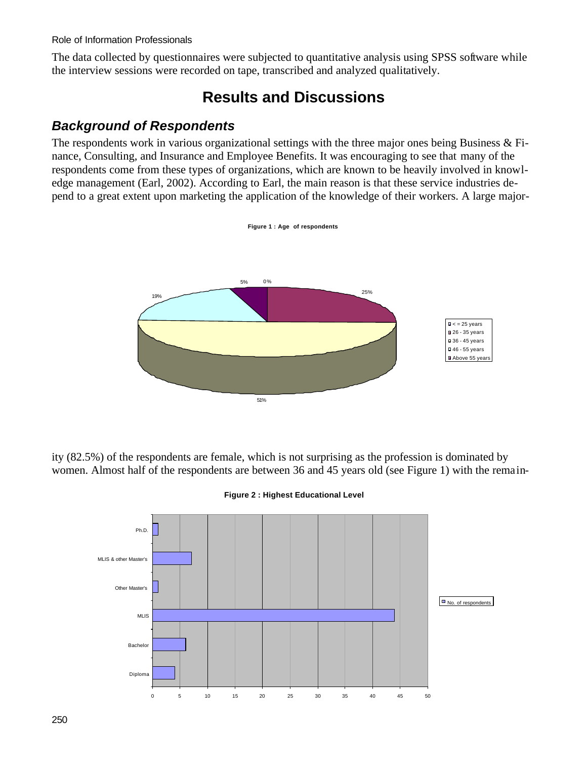The data collected by questionnaires were subjected to quantitative analysis using SPSS software while the interview sessions were recorded on tape, transcribed and analyzed qualitatively.

## **Results and Discussions**

### *Background of Respondents*

The respondents work in various organizational settings with the three major ones being Business & Finance, Consulting, and Insurance and Employee Benefits. It was encouraging to see that many of the respondents come from these types of organizations, which are known to be heavily involved in knowledge management (Earl, 2002). According to Earl, the main reason is that these service industries depend to a great extent upon marketing the application of the knowledge of their workers. A large major-



ity (82.5%) of the respondents are female, which is not surprising as the profession is dominated by women. Almost half of the respondents are between 36 and 45 years old (see Figure 1) with the remain-



**Figure 2 : Highest Educational Level**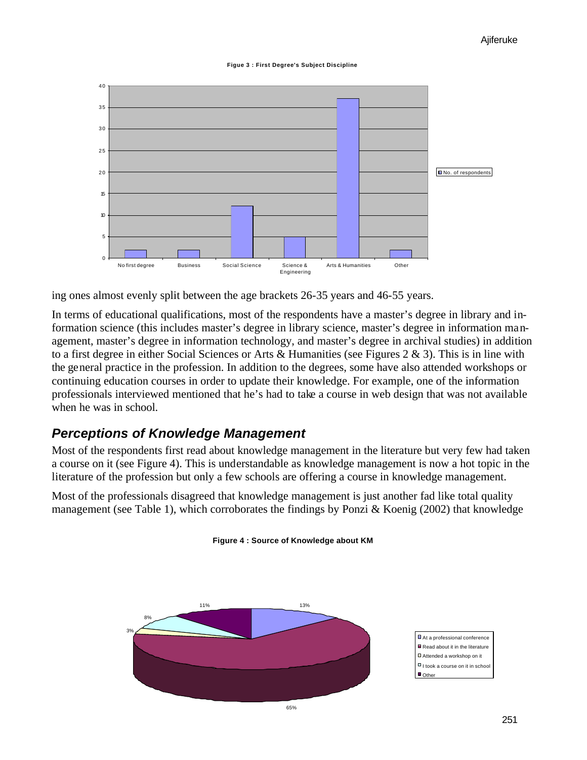



ing ones almost evenly split between the age brackets 26-35 years and 46-55 years.

In terms of educational qualifications, most of the respondents have a master's degree in library and information science (this includes master's degree in library science, master's degree in information management, master's degree in information technology, and master's degree in archival studies) in addition to a first degree in either Social Sciences or Arts & Humanities (see Figures 2 & 3). This is in line with the general practice in the profession. In addition to the degrees, some have also attended workshops or continuing education courses in order to update their knowledge. For example, one of the information professionals interviewed mentioned that he's had to take a course in web design that was not available when he was in school.

### *Perceptions of Knowledge Management*

Most of the respondents first read about knowledge management in the literature but very few had taken a course on it (see Figure 4). This is understandable as knowledge management is now a hot topic in the literature of the profession but only a few schools are offering a course in knowledge management.

Most of the professionals disagreed that knowledge management is just another fad like total quality management (see Table 1), which corroborates the findings by Ponzi & Koenig (2002) that knowledge



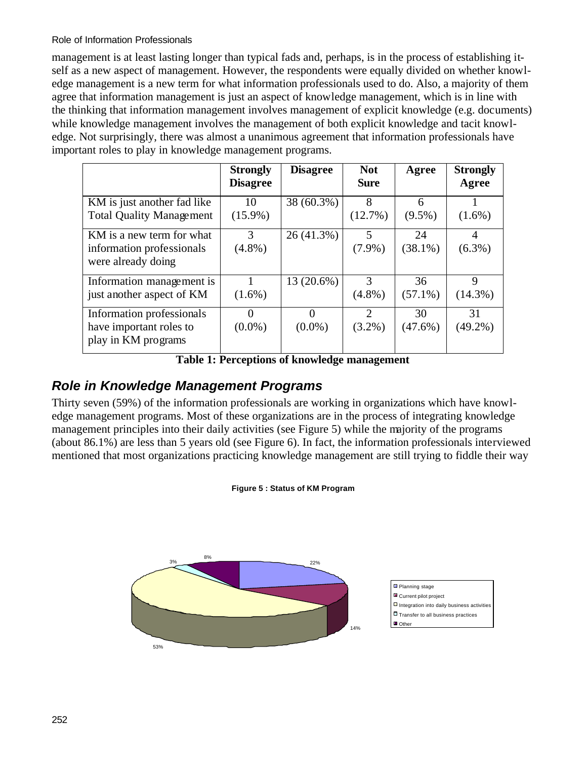management is at least lasting longer than typical fads and, perhaps, is in the process of establishing itself as a new aspect of management. However, the respondents were equally divided on whether knowledge management is a new term for what information professionals used to do. Also, a majority of them agree that information management is just an aspect of knowledge management, which is in line with the thinking that information management involves management of explicit knowledge (e.g. documents) while knowledge management involves the management of both explicit knowledge and tacit knowledge. Not surprisingly, there was almost a unanimous agreement that information professionals have important roles to play in knowledge management programs.

|                                                                              | <b>Strongly</b><br><b>Disagree</b> | <b>Disagree</b>       | <b>Not</b><br><b>Sure</b>                | Agree            | <b>Strongly</b><br>Agree |
|------------------------------------------------------------------------------|------------------------------------|-----------------------|------------------------------------------|------------------|--------------------------|
| KM is just another fad like<br><b>Total Quality Management</b>               | 10<br>$(15.9\%)$                   | 38 (60.3%)            | 8<br>(12.7%)                             | 6<br>$(9.5\%)$   | $(1.6\%)$                |
| KM is a new term for what<br>information professionals<br>were already doing | 3<br>$(4.8\%)$                     | 26 (41.3%)            | 5<br>$(7.9\%)$                           | 24<br>$(38.1\%)$ | 4<br>$(6.3\%)$           |
| Information management is<br>just another aspect of KM                       | $(1.6\%)$                          | 13 (20.6%)            | 3<br>$(4.8\%)$                           | 36<br>$(57.1\%)$ | 9<br>$(14.3\%)$          |
| Information professionals<br>have important roles to<br>play in KM programs  | 0<br>$(0.0\%)$                     | $\Omega$<br>$(0.0\%)$ | $\mathcal{D}_{\mathcal{L}}$<br>$(3.2\%)$ | 30<br>$(47.6\%)$ | 31<br>$(49.2\%)$         |

**Table 1: Perceptions of knowledge management**

### *Role in Knowledge Management Programs*

Thirty seven (59%) of the information professionals are working in organizations which have knowledge management programs. Most of these organizations are in the process of integrating knowledge management principles into their daily activities (see Figure 5) while the majority of the programs (about 86.1%) are less than 5 years old (see Figure 6). In fact, the information professionals interviewed mentioned that most organizations practicing knowledge management are still trying to fiddle their way

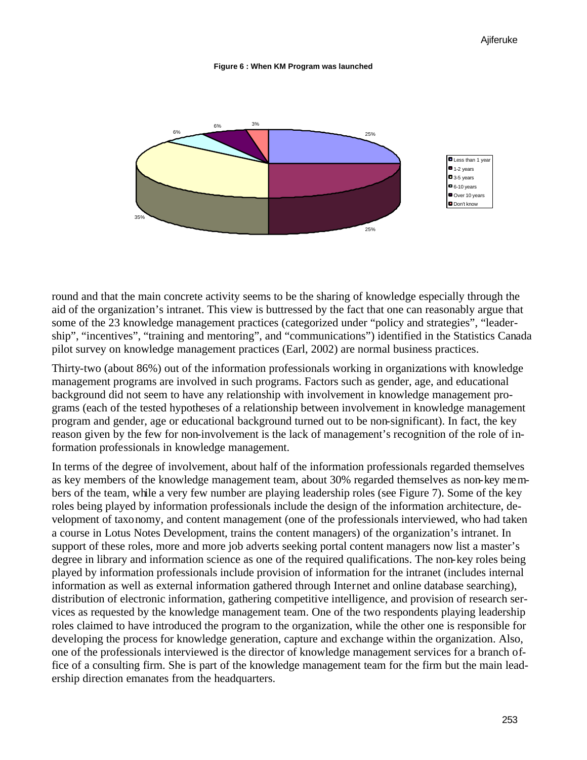#### **Figure 6 : When KM Program was launched**



round and that the main concrete activity seems to be the sharing of knowledge especially through the aid of the organization's intranet. This view is buttressed by the fact that one can reasonably argue that some of the 23 knowledge management practices (categorized under "policy and strategies", "leadership", "incentives", "training and mentoring", and "communications") identified in the Statistics Canada pilot survey on knowledge management practices (Earl, 2002) are normal business practices.

Thirty-two (about 86%) out of the information professionals working in organizations with knowledge management programs are involved in such programs. Factors such as gender, age, and educational background did not seem to have any relationship with involvement in knowledge management programs (each of the tested hypotheses of a relationship between involvement in knowledge management program and gender, age or educational background turned out to be non-significant). In fact, the key reason given by the few for non-involvement is the lack of management's recognition of the role of information professionals in knowledge management.

In terms of the degree of involvement, about half of the information professionals regarded themselves as key members of the knowledge management team, about 30% regarded themselves as non-key members of the team, while a very few number are playing leadership roles (see Figure 7). Some of the key roles being played by information professionals include the design of the information architecture, development of taxonomy, and content management (one of the professionals interviewed, who had taken a course in Lotus Notes Development, trains the content managers) of the organization's intranet. In support of these roles, more and more job adverts seeking portal content managers now list a master's degree in library and information science as one of the required qualifications. The non-key roles being played by information professionals include provision of information for the intranet (includes internal information as well as external information gathered through Internet and online database searching), distribution of electronic information, gathering competitive intelligence, and provision of research services as requested by the knowledge management team. One of the two respondents playing leadership roles claimed to have introduced the program to the organization, while the other one is responsible for developing the process for knowledge generation, capture and exchange within the organization. Also, one of the professionals interviewed is the director of knowledge management services for a branch office of a consulting firm. She is part of the knowledge management team for the firm but the main leadership direction emanates from the headquarters.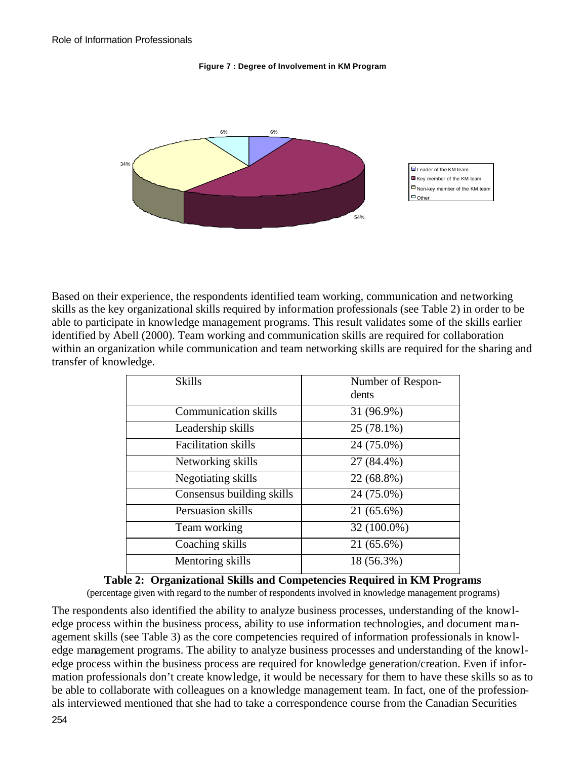#### **Figure 7 : Degree of Involvement in KM Program**



Based on their experience, the respondents identified team working, communication and networking skills as the key organizational skills required by information professionals (see Table 2) in order to be able to participate in knowledge management programs. This result validates some of the skills earlier identified by Abell (2000). Team working and communication skills are required for collaboration within an organization while communication and team networking skills are required for the sharing and transfer of knowledge.

| <b>Skills</b>               | Number of Respon-<br>dents |
|-----------------------------|----------------------------|
| <b>Communication skills</b> | 31 (96.9%)                 |
| Leadership skills           | 25 (78.1%)                 |
| <b>Facilitation</b> skills  | 24 (75.0%)                 |
| Networking skills           | 27 (84.4%)                 |
| Negotiating skills          | 22 (68.8%)                 |
| Consensus building skills   | 24 (75.0%)                 |
| Persuasion skills           | 21 (65.6%)                 |
| Team working                | 32 (100.0%)                |
| Coaching skills             | 21 (65.6%)                 |
| Mentoring skills            | 18 (56.3%)                 |
|                             |                            |

### **Table 2: Organizational Skills and Competencies Required in KM Programs**

(percentage given with regard to the number of respondents involved in knowledge management programs)

The respondents also identified the ability to analyze business processes, understanding of the knowledge process within the business process, ability to use information technologies, and document management skills (see Table 3) as the core competencies required of information professionals in knowledge management programs. The ability to analyze business processes and understanding of the knowledge process within the business process are required for knowledge generation/creation. Even if information professionals don't create knowledge, it would be necessary for them to have these skills so as to be able to collaborate with colleagues on a knowledge management team. In fact, one of the professionals interviewed mentioned that she had to take a correspondence course from the Canadian Securities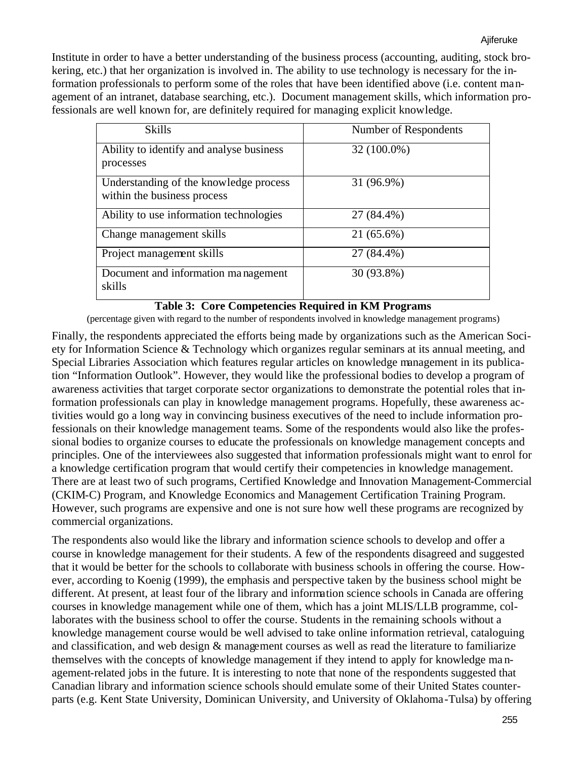Institute in order to have a better understanding of the business process (accounting, auditing, stock brokering, etc.) that her organization is involved in. The ability to use technology is necessary for the information professionals to perform some of the roles that have been identified above (i.e. content management of an intranet, database searching, etc.). Document management skills, which information professionals are well known for, are definitely required for managing explicit knowledge.

| <b>Skills</b>                                                         | Number of Respondents |
|-----------------------------------------------------------------------|-----------------------|
| Ability to identify and analyse business<br>processes                 | 32 (100.0%)           |
| Understanding of the knowledge process<br>within the business process | 31 (96.9%)            |
| Ability to use information technologies                               | 27 (84.4%)            |
| Change management skills                                              | 21 (65.6%)            |
| Project management skills                                             | 27 (84.4%)            |
| Document and information management<br>skills                         | 30 (93.8%)            |

#### **Table 3: Core Competencies Required in KM Programs**

(percentage given with regard to the number of respondents involved in knowledge management programs)

Finally, the respondents appreciated the efforts being made by organizations such as the American Society for Information Science & Technology which organizes regular seminars at its annual meeting, and Special Libraries Association which features regular articles on knowledge management in its publication "Information Outlook". However, they would like the professional bodies to develop a program of awareness activities that target corporate sector organizations to demonstrate the potential roles that information professionals can play in knowledge management programs. Hopefully, these awareness activities would go a long way in convincing business executives of the need to include information professionals on their knowledge management teams. Some of the respondents would also like the professional bodies to organize courses to educate the professionals on knowledge management concepts and principles. One of the interviewees also suggested that information professionals might want to enrol for a knowledge certification program that would certify their competencies in knowledge management. There are at least two of such programs, Certified Knowledge and Innovation Management-Commercial (CKIM-C) Program, and Knowledge Economics and Management Certification Training Program. However, such programs are expensive and one is not sure how well these programs are recognized by commercial organizations.

The respondents also would like the library and information science schools to develop and offer a course in knowledge management for their students. A few of the respondents disagreed and suggested that it would be better for the schools to collaborate with business schools in offering the course. However, according to Koenig (1999), the emphasis and perspective taken by the business school might be different. At present, at least four of the library and information science schools in Canada are offering courses in knowledge management while one of them, which has a joint MLIS/LLB programme, collaborates with the business school to offer the course. Students in the remaining schools without a knowledge management course would be well advised to take online information retrieval, cataloguing and classification, and web design & management courses as well as read the literature to familiarize themselves with the concepts of knowledge management if they intend to apply for knowledge ma nagement-related jobs in the future. It is interesting to note that none of the respondents suggested that Canadian library and information science schools should emulate some of their United States counterparts (e.g. Kent State University, Dominican University, and University of Oklahoma-Tulsa) by offering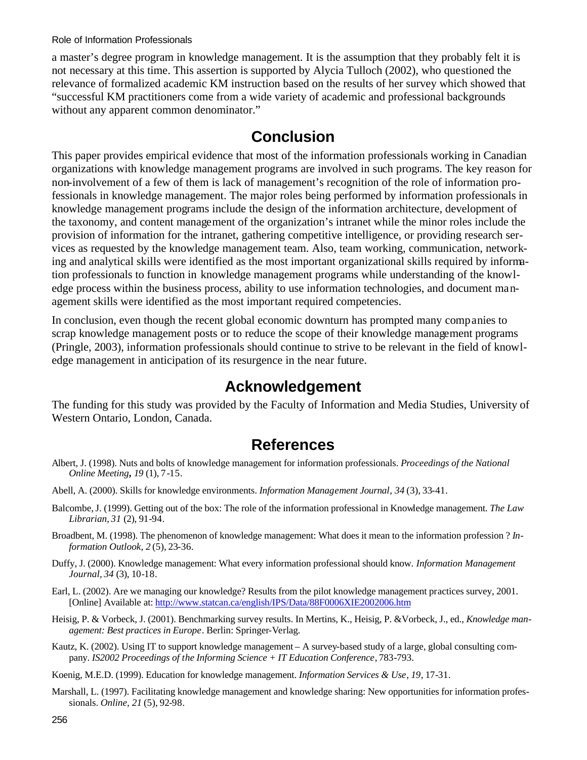a master's degree program in knowledge management. It is the assumption that they probably felt it is not necessary at this time. This assertion is supported by Alycia Tulloch (2002), who questioned the relevance of formalized academic KM instruction based on the results of her survey which showed that "successful KM practitioners come from a wide variety of academic and professional backgrounds without any apparent common denominator."

## **Conclusion**

This paper provides empirical evidence that most of the information professionals working in Canadian organizations with knowledge management programs are involved in such programs. The key reason for non-involvement of a few of them is lack of management's recognition of the role of information professionals in knowledge management. The major roles being performed by information professionals in knowledge management programs include the design of the information architecture, development of the taxonomy, and content management of the organization's intranet while the minor roles include the provision of information for the intranet, gathering competitive intelligence, or providing research services as requested by the knowledge management team. Also, team working, communication, networking and analytical skills were identified as the most important organizational skills required by information professionals to function in knowledge management programs while understanding of the knowledge process within the business process, ability to use information technologies, and document management skills were identified as the most important required competencies.

In conclusion, even though the recent global economic downturn has prompted many companies to scrap knowledge management posts or to reduce the scope of their knowledge management programs (Pringle, 2003), information professionals should continue to strive to be relevant in the field of knowledge management in anticipation of its resurgence in the near future.

## **Acknowledgement**

The funding for this study was provided by the Faculty of Information and Media Studies, University of Western Ontario, London, Canada.

### **References**

- Albert, J. (1998). Nuts and bolts of knowledge management for information professionals. *Proceedings of the National Online Meeting, 19* (1), 7-15.
- Abell, A. (2000). Skills for knowledge environments. *Information Management Journal*, *34* (3), 33-41.
- Balcombe, J. (1999). Getting out of the box: The role of the information professional in Knowledge management. *The Law Librarian*, *31* (2), 91-94.
- Broadbent, M. (1998). The phenomenon of knowledge management: What does it mean to the information profession ? *Information Outlook, 2* (5), 23-36.
- Duffy, J. (2000). Knowledge management: What every information professional should know. *Information Management Journal, 34* (3), 10-18.
- Earl, L. (2002). Are we managing our knowledge? Results from the pilot knowledge management practices survey, 2001. [Online] Available at: http://www.statcan.ca/english/IPS/Data/88F0006XIE2002006.htm
- Heisig, P. & Vorbeck, J. (2001). Benchmarking survey results. In Mertins, K., Heisig, P. &Vorbeck, J., ed., *Knowledge management: Best practices in Europe*. Berlin: Springer-Verlag.
- Kautz, K. (2002). Using IT to support knowledge management A survey-based study of a large, global consulting company. *IS2002 Proceedings of the Informing Science + IT Education Conference*, 783-793.
- Koenig, M.E.D. (1999). Education for knowledge management. *Information Services & Use*, *19*, 17-31.
- Marshall, L. (1997). Facilitating knowledge management and knowledge sharing: New opportunities for information professionals. *Online, 21* (5), 92-98.